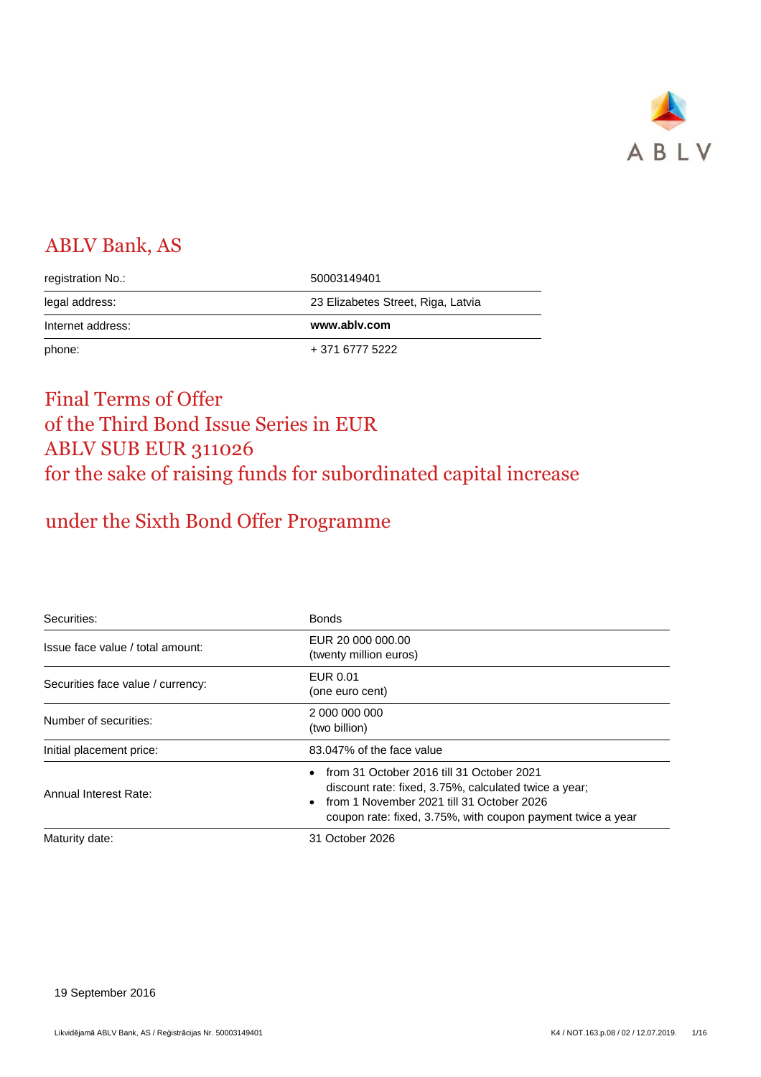

# ABLV Bank, AS

| registration No.: | 50003149401                        |
|-------------------|------------------------------------|
| legal address:    | 23 Elizabetes Street, Riga, Latvia |
|                   |                                    |
| Internet address: | www.ablv.com                       |

# Final Terms of Offer of the Third Bond Issue Series in EUR ABLV SUB EUR 311026 for the sake of raising funds for subordinated capital increase

# under the Sixth Bond Offer Programme

| Securities:                       | <b>Bonds</b>                                                                                                                                                                                                   |
|-----------------------------------|----------------------------------------------------------------------------------------------------------------------------------------------------------------------------------------------------------------|
| Issue face value / total amount:  | EUR 20 000 000,00<br>(twenty million euros)                                                                                                                                                                    |
| Securities face value / currency: | EUR 0.01<br>(one euro cent)                                                                                                                                                                                    |
| Number of securities:             | 2 000 000 000<br>(two billion)                                                                                                                                                                                 |
| Initial placement price:          | 83.047% of the face value                                                                                                                                                                                      |
| Annual Interest Rate:             | from 31 October 2016 till 31 October 2021<br>discount rate: fixed, 3.75%, calculated twice a year;<br>from 1 November 2021 till 31 October 2026<br>coupon rate: fixed, 3.75%, with coupon payment twice a year |
| Maturity date:                    | 31 October 2026                                                                                                                                                                                                |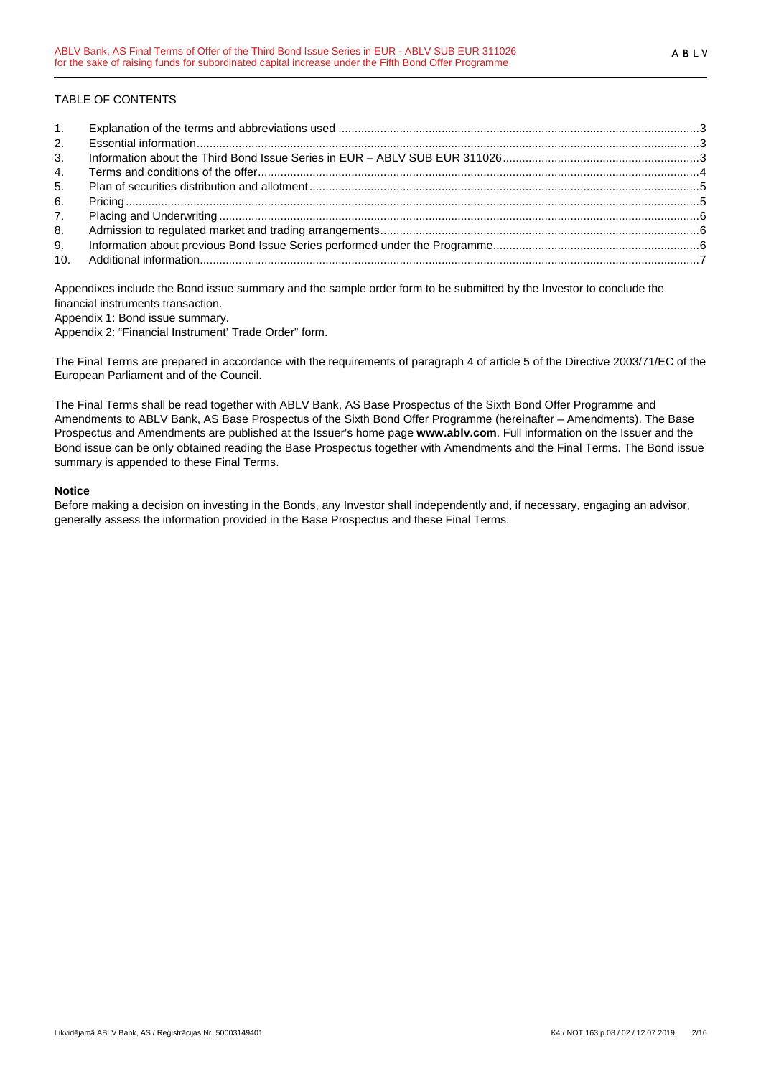## TABLE OF CONTENTS

| 1.             |  |
|----------------|--|
| 2.             |  |
| 3 <sub>1</sub> |  |
| 4.             |  |
| 5.             |  |
| 6.             |  |
| 7.             |  |
| 8.             |  |
| 9.             |  |
|                |  |

Appendixes include the Bond issue summary and the sample order form to be submitted by the Investor to conclude the financial instruments transaction.

Appendix 1: Bond issue summary.

Appendix 2: "Financial Instrument' Trade Order" form.

The Final Terms are prepared in accordance with the requirements of paragraph 4 of article 5 of the Directive 2003/71/EC of the European Parliament and of the Council.

The Final Terms shall be read together with ABLV Bank, AS Base Prospectus of the Sixth Bond Offer Programme and Amendments to ABLV Bank, AS Base Prospectus of the Sixth Bond Offer Programme (hereinafter – Amendments). The Base Prospectus and Amendments are published at the Issuer's home page **www.ablv.com**. Full information on the Issuer and the Bond issue can be only obtained reading the Base Prospectus together with Amendments and the Final Terms. The Bond issue summary is appended to these Final Terms.

### **Notice**

Before making a decision on investing in the Bonds, any Investor shall independently and, if necessary, engaging an advisor, generally assess the information provided in the Base Prospectus and these Final Terms.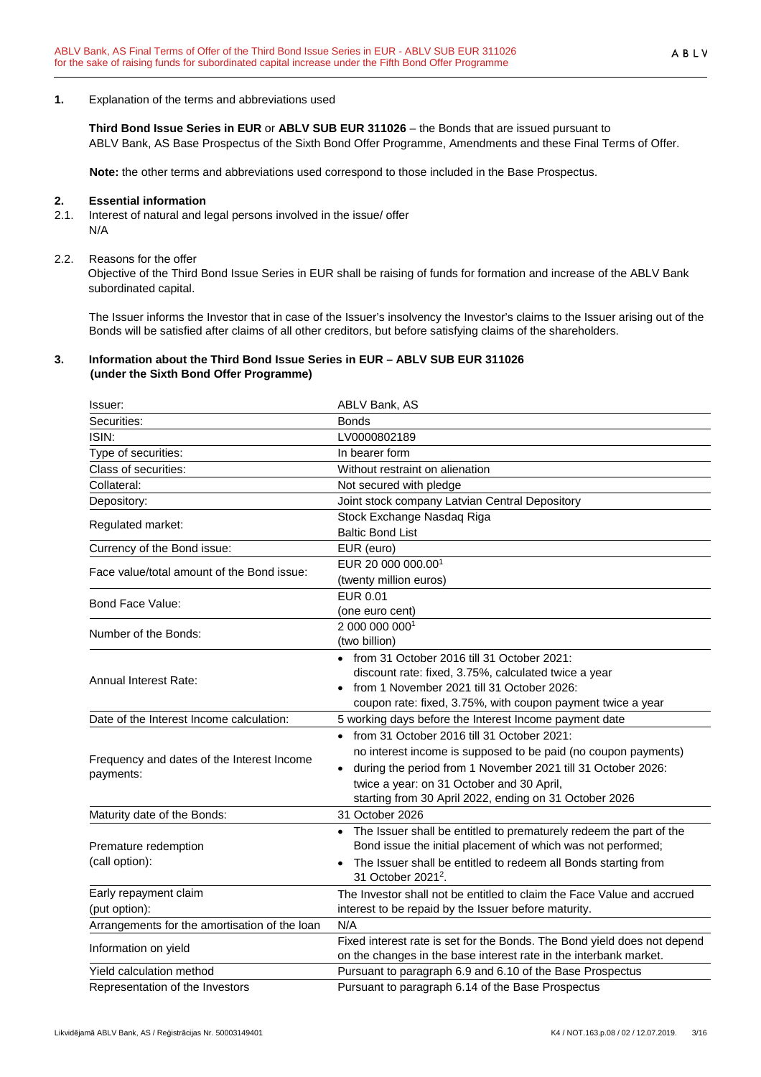### **1.** Explanation of the terms and abbreviations used

**Third Bond Issue Series in EUR** or **ABLV SUB EUR 311026** – the Bonds that are issued pursuant to

ABLV Bank, AS Base Prospectus of the Sixth Bond Offer Programme, Amendments and these Final Terms of Offer.

**Note:** the other terms and abbreviations used correspond to those included in the Base Prospectus.

#### **2. Essential information**

2.1. Interest of natural and legal persons involved in the issue/ offer N/A

#### 2.2. Reasons for the offer

Objective of the Third Bond Issue Series in EUR shall be raising of funds for formation and increase of the ABLV Bank subordinated capital.

The Issuer informs the Investor that in case of the Issuer's insolvency the Investor's claims to the Issuer arising out of the Bonds will be satisfied after claims of all other creditors, but before satisfying claims of the shareholders.

### **3. Information about the Third Bond Issue Series in EUR – ABLV SUB EUR 311026 (under the Sixth Bond Offer Programme)**

| Issuer:                                       | <b>ABLV Bank, AS</b>                                                     |
|-----------------------------------------------|--------------------------------------------------------------------------|
| Securities:                                   | <b>Bonds</b>                                                             |
| ISIN:                                         | LV0000802189                                                             |
| Type of securities:                           | In bearer form                                                           |
| Class of securities:                          | Without restraint on alienation                                          |
| Collateral:                                   | Not secured with pledge                                                  |
| Depository:                                   | Joint stock company Latvian Central Depository                           |
|                                               | Stock Exchange Nasdaq Riga                                               |
| Regulated market:                             | <b>Baltic Bond List</b>                                                  |
| Currency of the Bond issue:                   | EUR (euro)                                                               |
| Face value/total amount of the Bond issue:    | EUR 20 000 000.001                                                       |
|                                               | (twenty million euros)                                                   |
| Bond Face Value:                              | <b>EUR 0.01</b>                                                          |
|                                               | (one euro cent)                                                          |
| Number of the Bonds:                          | 2 000 000 0001                                                           |
|                                               | (two billion)                                                            |
|                                               | $\bullet$ from 31 October 2016 till 31 October 2021:                     |
| <b>Annual Interest Rate:</b>                  | discount rate: fixed, 3.75%, calculated twice a year                     |
|                                               | from 1 November 2021 till 31 October 2026:                               |
|                                               | coupon rate: fixed, 3.75%, with coupon payment twice a year              |
| Date of the Interest Income calculation:      | 5 working days before the Interest Income payment date                   |
|                                               | • from 31 October 2016 till 31 October 2021:                             |
| Frequency and dates of the Interest Income    | no interest income is supposed to be paid (no coupon payments)           |
| payments:                                     | • during the period from 1 November 2021 till 31 October 2026:           |
|                                               | twice a year: on 31 October and 30 April,                                |
|                                               | starting from 30 April 2022, ending on 31 October 2026                   |
| Maturity date of the Bonds:                   | 31 October 2026                                                          |
|                                               | • The Issuer shall be entitled to prematurely redeem the part of the     |
| Premature redemption                          | Bond issue the initial placement of which was not performed;             |
| (call option):                                | The Issuer shall be entitled to redeem all Bonds starting from           |
|                                               | 31 October 2021 <sup>2</sup> .                                           |
| Early repayment claim                         | The Investor shall not be entitled to claim the Face Value and accrued   |
| (put option):                                 | interest to be repaid by the Issuer before maturity.                     |
| Arrangements for the amortisation of the loan | N/A                                                                      |
| Information on yield                          | Fixed interest rate is set for the Bonds. The Bond yield does not depend |
|                                               | on the changes in the base interest rate in the interbank market.        |
| Yield calculation method                      | Pursuant to paragraph 6.9 and 6.10 of the Base Prospectus                |
| Representation of the Investors               | Pursuant to paragraph 6.14 of the Base Prospectus                        |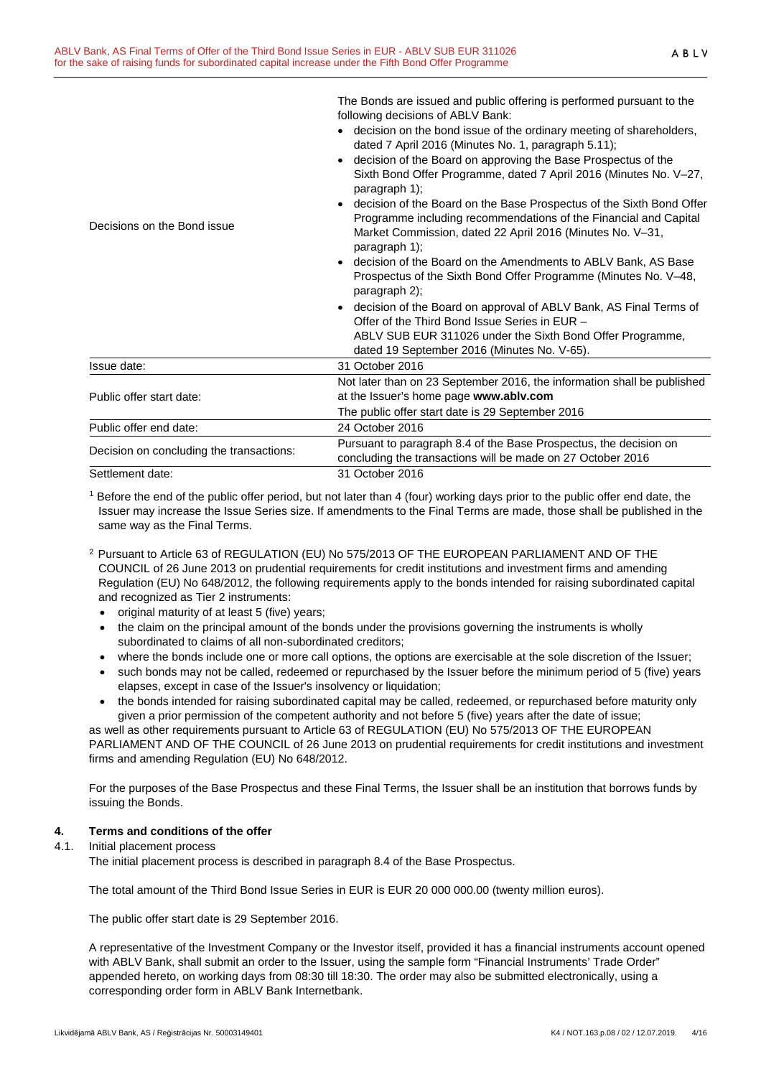|                                          | The bonds are issued and public diffinity is performed pursuant to the<br>following decisions of ABLV Bank:                                                                                                               |
|------------------------------------------|---------------------------------------------------------------------------------------------------------------------------------------------------------------------------------------------------------------------------|
|                                          | • decision on the bond issue of the ordinary meeting of shareholders,<br>dated 7 April 2016 (Minutes No. 1, paragraph 5.11);                                                                                              |
|                                          | decision of the Board on approving the Base Prospectus of the<br>$\bullet$<br>Sixth Bond Offer Programme, dated 7 April 2016 (Minutes No. V-27,<br>paragraph 1);                                                          |
| Decisions on the Bond issue              | decision of the Board on the Base Prospectus of the Sixth Bond Offer<br>Programme including recommendations of the Financial and Capital<br>Market Commission, dated 22 April 2016 (Minutes No. V-31,<br>paragraph $1$ ); |
|                                          | • decision of the Board on the Amendments to ABLV Bank, AS Base<br>Prospectus of the Sixth Bond Offer Programme (Minutes No. V-48,<br>paragraph 2);                                                                       |
|                                          | • decision of the Board on approval of ABLV Bank, AS Final Terms of<br>Offer of the Third Bond Issue Series in EUR -                                                                                                      |
|                                          | ABLV SUB EUR 311026 under the Sixth Bond Offer Programme,<br>dated 19 September 2016 (Minutes No. V-65).                                                                                                                  |
| Issue date:                              | 31 October 2016                                                                                                                                                                                                           |
| Public offer start date:                 | Not later than on 23 September 2016, the information shall be published<br>at the Issuer's home page www.ablv.com                                                                                                         |
|                                          | The public offer start date is 29 September 2016                                                                                                                                                                          |
| Public offer end date:                   | 24 October 2016                                                                                                                                                                                                           |
| Decision on concluding the transactions: | Pursuant to paragraph 8.4 of the Base Prospectus, the decision on<br>concluding the transactions will be made on 27 October 2016                                                                                          |
| Settlement date:                         | 31 October 2016                                                                                                                                                                                                           |

The Bonds are issued and public offering is performed pursuant to the

<sup>1</sup> Before the end of the public offer period, but not later than 4 (four) working days prior to the public offer end date, the Issuer may increase the Issue Series size. If amendments to the Final Terms are made, those shall be published in the same way as the Final Terms.

- <sup>2</sup> Pursuant to Article 63 of REGULATION (EU) No 575/2013 OF THE EUROPEAN PARLIAMENT AND OF THE COUNCIL of 26 June 2013 on prudential requirements for credit institutions and investment firms and amending Regulation (EU) No 648/2012, the following requirements apply to the bonds intended for raising subordinated capital and recognized as Tier 2 instruments:
	- original maturity of at least 5 (five) years;
	- the claim on the principal amount of the bonds under the provisions governing the instruments is wholly subordinated to claims of all non-subordinated creditors;
	- where the bonds include one or more call options, the options are exercisable at the sole discretion of the Issuer;
	- such bonds may not be called, redeemed or repurchased by the Issuer before the minimum period of 5 (five) years elapses, except in case of the Issuer's insolvency or liquidation;
	- the bonds intended for raising subordinated capital may be called, redeemed, or repurchased before maturity only given a prior permission of the competent authority and not before 5 (five) years after the date of issue;

as well as other requirements pursuant to Article 63 of REGULATION (EU) No 575/2013 OF THE EUROPEAN PARLIAMENT AND OF THE COUNCIL of 26 June 2013 on prudential requirements for credit institutions and investment firms and amending Regulation (EU) No 648/2012.

For the purposes of the Base Prospectus and these Final Terms, the Issuer shall be an institution that borrows funds by issuing the Bonds.

## **4. Terms and conditions of the offer**

### 4.1. Initial placement process

The initial placement process is described in paragraph 8.4 of the Base Prospectus.

The total amount of the Third Bond Issue Series in EUR is EUR 20 000 000.00 (twenty million euros).

The public offer start date is 29 September 2016.

A representative of the Investment Company or the Investor itself, provided it has a financial instruments account opened with ABLV Bank, shall submit an order to the Issuer, using the sample form "Financial Instruments' Trade Order" appended hereto, on working days from 08:30 till 18:30. The order may also be submitted electronically, using a corresponding order form in ABLV Bank Internetbank.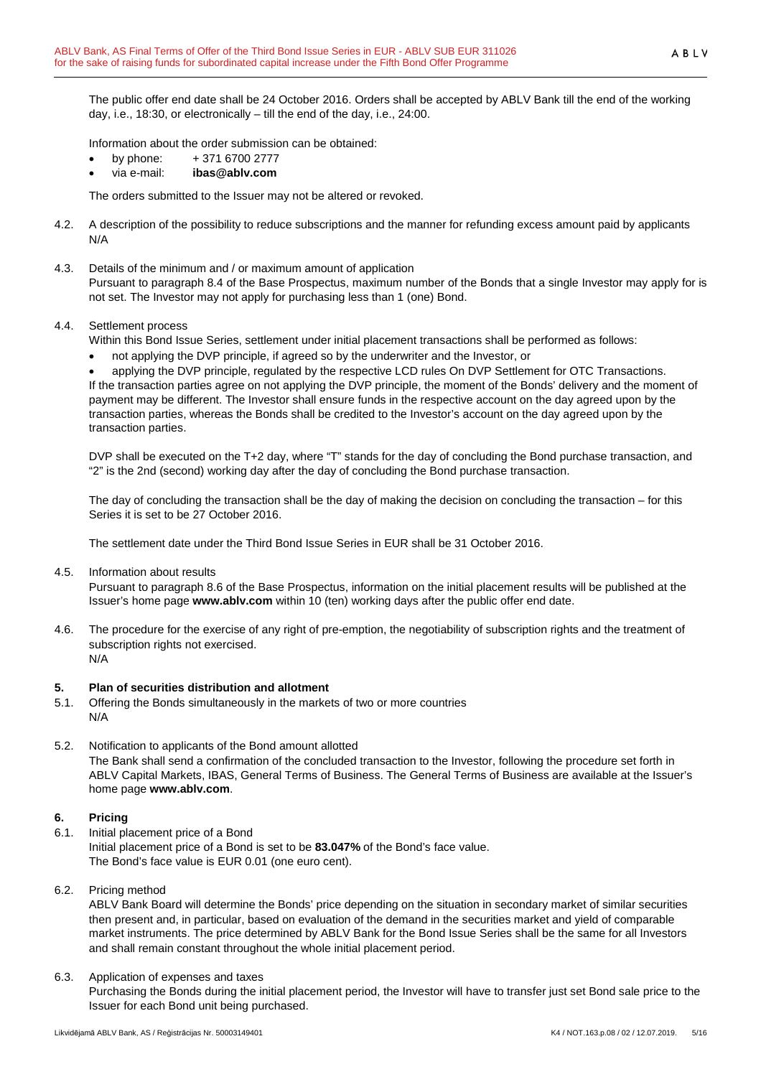The public offer end date shall be 24 October 2016. Orders shall be accepted by ABLV Bank till the end of the working day, i.e., 18:30, or electronically – till the end of the day, i.e., 24:00.

Information about the order submission can be obtained:

- by phone: + 371 6700 2777
- via e-mail: **ibas@ablv.com**

The orders submitted to the Issuer may not be altered or revoked.

- 4.2. A description of the possibility to reduce subscriptions and the manner for refunding excess amount paid by applicants N/A
- 4.3. Details of the minimum and / or maximum amount of application

Pursuant to paragraph 8.4 of the Base Prospectus, maximum number of the Bonds that a single Investor may apply for is not set. The Investor may not apply for purchasing less than 1 (one) Bond.

4.4. Settlement process

Within this Bond Issue Series, settlement under initial placement transactions shall be performed as follows:

• not applying the DVP principle, if agreed so by the underwriter and the Investor, or

• applying the DVP principle, regulated by the respective LCD rules On DVP Settlement for OTC Transactions. If the transaction parties agree on not applying the DVP principle, the moment of the Bonds' delivery and the moment of payment may be different. The Investor shall ensure funds in the respective account on the day agreed upon by the transaction parties, whereas the Bonds shall be credited to the Investor's account on the day agreed upon by the transaction parties.

DVP shall be executed on the T+2 day, where "T" stands for the day of concluding the Bond purchase transaction, and "2" is the 2nd (second) working day after the day of concluding the Bond purchase transaction.

The day of concluding the transaction shall be the day of making the decision on concluding the transaction – for this Series it is set to be 27 October 2016.

The settlement date under the Third Bond Issue Series in EUR shall be 31 October 2016.

4.5. Information about results

Pursuant to paragraph 8.6 of the Base Prospectus, information on the initial placement results will be published at the Issuer's home page **www.ablv.com** within 10 (ten) working days after the public offer end date.

4.6. The procedure for the exercise of any right of pre-emption, the negotiability of subscription rights and the treatment of subscription rights not exercised. N/A

## **5. Plan of securities distribution and allotment**

- 5.1. Offering the Bonds simultaneously in the markets of two or more countries N/A
- 5.2. Notification to applicants of the Bond amount allotted The Bank shall send a confirmation of the concluded transaction to the Investor, following the procedure set forth in ABLV Capital Markets, IBAS, General Terms of Business. The General Terms of Business are available at the Issuer's home page **www.ablv.com**.

## **6. Pricing**

- 6.1. Initial placement price of a Bond Initial placement price of a Bond is set to be **83.047%** of the Bond's face value. The Bond's face value is EUR 0.01 (one euro cent).
- 6.2. Pricing method

ABLV Bank Board will determine the Bonds' price depending on the situation in secondary market of similar securities then present and, in particular, based on evaluation of the demand in the securities market and yield of comparable market instruments. The price determined by ABLV Bank for the Bond Issue Series shall be the same for all Investors and shall remain constant throughout the whole initial placement period.

6.3. Application of expenses and taxes

Purchasing the Bonds during the initial placement period, the Investor will have to transfer just set Bond sale price to the Issuer for each Bond unit being purchased.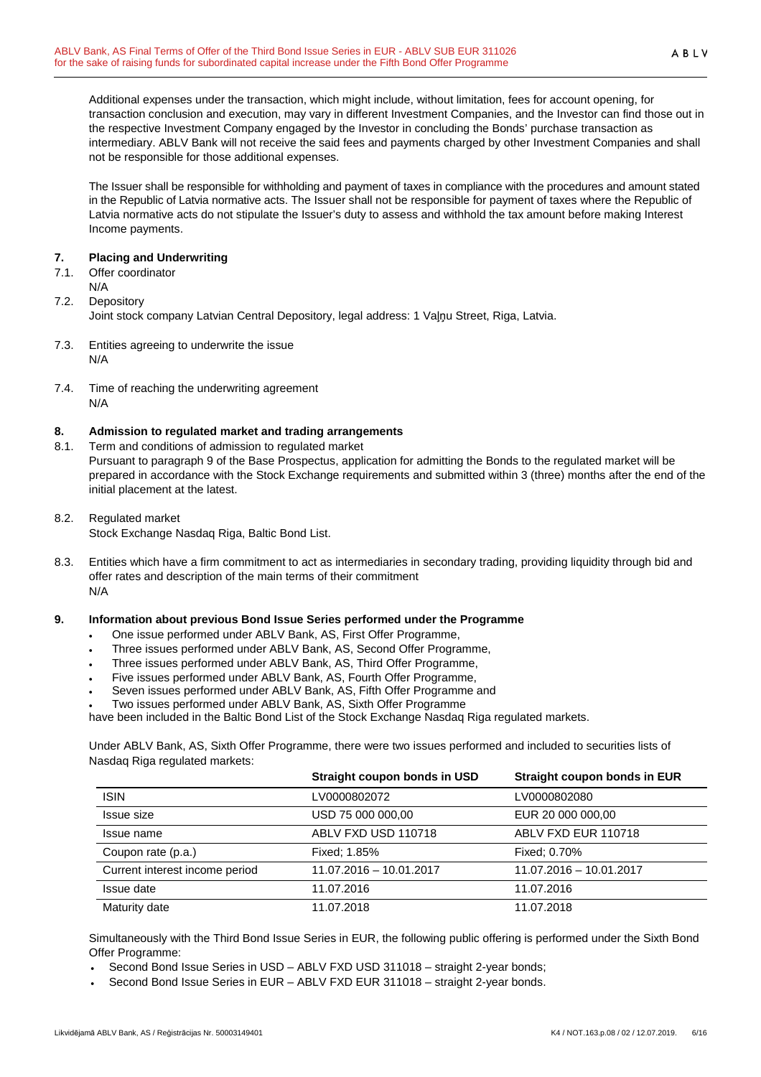Additional expenses under the transaction, which might include, without limitation, fees for account opening, for transaction conclusion and execution, may vary in different Investment Companies, and the Investor can find those out in the respective Investment Company engaged by the Investor in concluding the Bonds' purchase transaction as intermediary. ABLV Bank will not receive the said fees and payments charged by other Investment Companies and shall not be responsible for those additional expenses.

The Issuer shall be responsible for withholding and payment of taxes in compliance with the procedures and amount stated in the Republic of Latvia normative acts. The Issuer shall not be responsible for payment of taxes where the Republic of Latvia normative acts do not stipulate the Issuer's duty to assess and withhold the tax amount before making Interest Income payments.

## **7. Placing and Underwriting**

- 7.1. Offer coordinator
- N/A
- 7.2. Depository Joint stock company Latvian Central Depository, legal address: 1 Vaļņu Street, Riga, Latvia.
- 7.3. Entities agreeing to underwrite the issue N/A

initial placement at the latest.

7.4. Time of reaching the underwriting agreement N/A

## **8. Admission to regulated market and trading arrangements**

- 8.1. Term and conditions of admission to regulated market Pursuant to paragraph 9 of the Base Prospectus, application for admitting the Bonds to the regulated market will be prepared in accordance with the Stock Exchange requirements and submitted within 3 (three) months after the end of the
- 8.2. Regulated market
	- Stock Exchange Nasdaq Riga, Baltic Bond List.
- 8.3. Entities which have a firm commitment to act as intermediaries in secondary trading, providing liquidity through bid and offer rates and description of the main terms of their commitment N/A

## **9. Information about previous Bond Issue Series performed under the Programme**

- One issue performed under ABLV Bank, AS, First Offer Programme,
- Three issues performed under ABLV Bank, AS, Second Offer Programme,
- Three issues performed under ABLV Bank, AS, Third Offer Programme,
- Five issues performed under ABLV Bank, AS, Fourth Offer Programme,
- Seven issues performed under ABLV Bank, AS, Fifth Offer Programme and
- Two issues performed under ABLV Bank, AS, Sixth Offer Programme

have been included in the Baltic Bond List of the Stock Exchange Nasdaq Riga regulated markets.

Under ABLV Bank, AS, Sixth Offer Programme, there were two issues performed and included to securities lists of Nasdaq Riga regulated markets:

|                                | Straight coupon bonds in USD | Straight coupon bonds in EUR |
|--------------------------------|------------------------------|------------------------------|
| <b>ISIN</b>                    | LV0000802072                 | LV0000802080                 |
| Issue size                     | USD 75 000 000,00            | EUR 20 000 000,00            |
| Issue name                     | ABLV FXD USD 110718          | ABLV FXD EUR 110718          |
| Coupon rate (p.a.)             | Fixed: 1.85%                 | Fixed: 0.70%                 |
| Current interest income period | 11.07.2016 - 10.01.2017      | 11.07.2016 - 10.01.2017      |
| Issue date                     | 11.07.2016                   | 11.07.2016                   |
| Maturity date                  | 11.07.2018                   | 11.07.2018                   |

Simultaneously with the Third Bond Issue Series in EUR, the following public offering is performed under the Sixth Bond Offer Programme:

- Second Bond Issue Series in USD ABLV FXD USD 311018 straight 2-year bonds;
- Second Bond Issue Series in EUR ABLV FXD EUR 311018 straight 2-year bonds.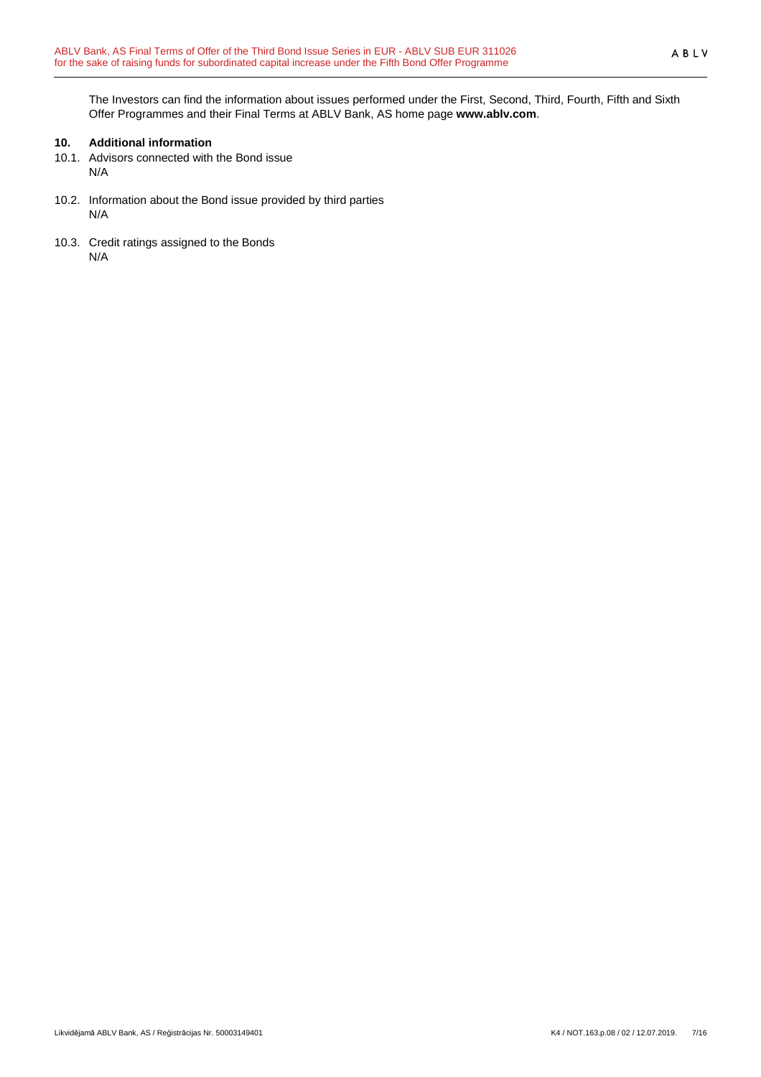The Investors can find the information about issues performed under the First, Second, Third, Fourth, Fifth and Sixth Offer Programmes and their Final Terms at ABLV Bank, AS home page **www.ablv.com**.

## **10. Additional information**

- 10.1. Advisors connected with the Bond issue N/A
- 10.2. Information about the Bond issue provided by third parties N/A
- 10.3. Credit ratings assigned to the Bonds N/A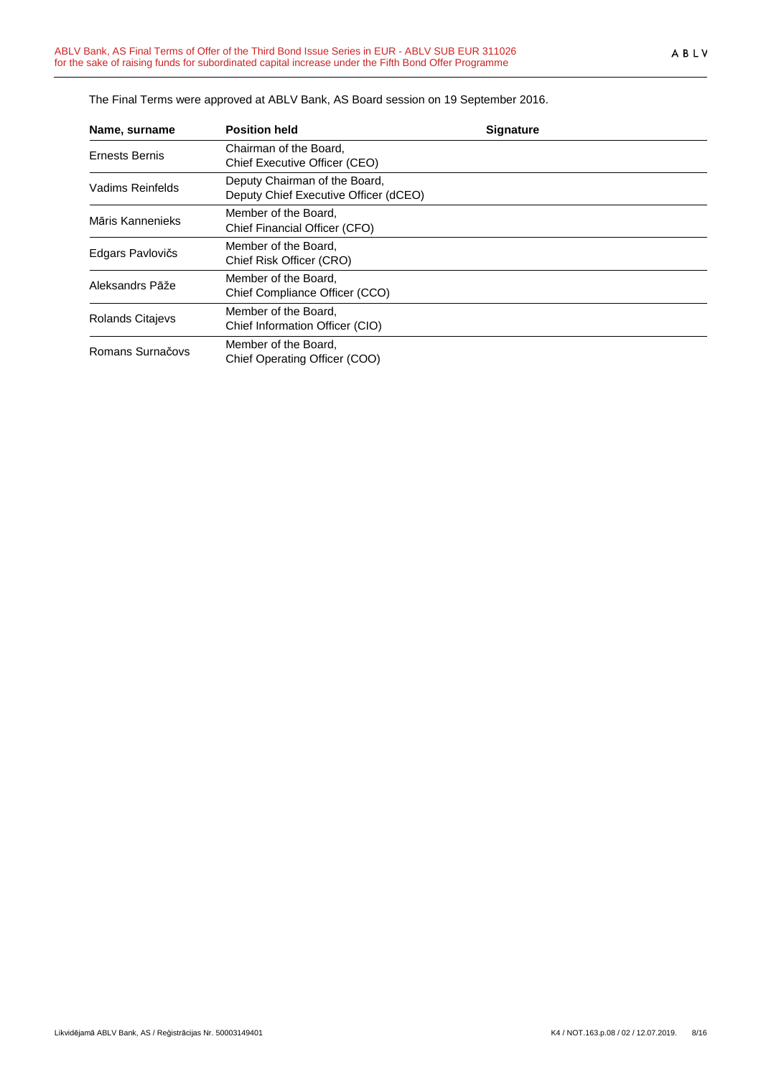| Name, surname         | <b>Position held</b>                                                   | <b>Signature</b> |
|-----------------------|------------------------------------------------------------------------|------------------|
| <b>Ernests Bernis</b> | Chairman of the Board.<br>Chief Executive Officer (CEO)                |                  |
| Vadims Reinfelds      | Deputy Chairman of the Board,<br>Deputy Chief Executive Officer (dCEO) |                  |
| Māris Kannenieks      | Member of the Board,<br>Chief Financial Officer (CFO)                  |                  |
| Edgars Pavlovičs      | Member of the Board,<br>Chief Risk Officer (CRO)                       |                  |
| Aleksandrs Pāže       | Member of the Board,<br>Chief Compliance Officer (CCO)                 |                  |
| Rolands Citajevs      | Member of the Board.<br>Chief Information Officer (CIO)                |                  |
| Romans Surnačovs      | Member of the Board,<br>Chief Operating Officer (COO)                  |                  |

The Final Terms were approved at ABLV Bank, AS Board session on 19 September 2016.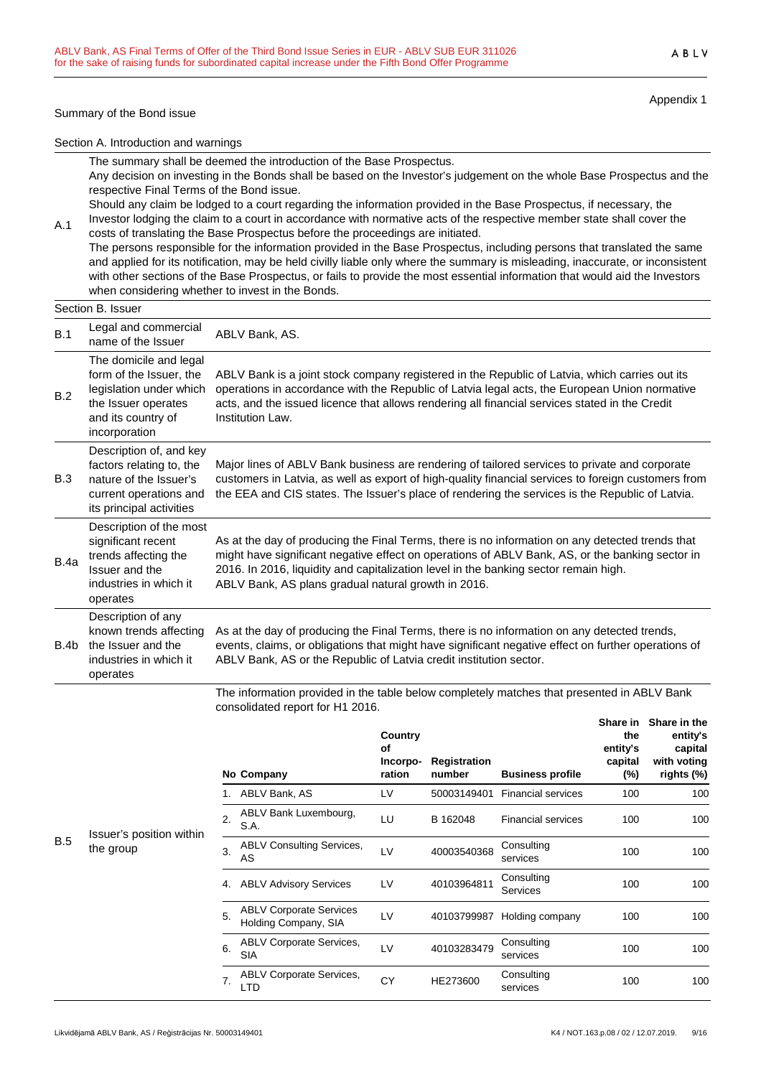#### Summary of the Bond issue

A.1

Appendix 1

Section A. Introduction and warnings

The summary shall be deemed the introduction of the Base Prospectus.

Any decision on investing in the Bonds shall be based on the Investor's judgement on the whole Base Prospectus and the respective Final Terms of the Bond issue.

Should any claim be lodged to a court regarding the information provided in the Base Prospectus, if necessary, the Investor lodging the claim to a court in accordance with normative acts of the respective member state shall cover the

costs of translating the Base Prospectus before the proceedings are initiated. The persons responsible for the information provided in the Base Prospectus, including persons that translated the same and applied for its notification, may be held civilly liable only where the summary is misleading, inaccurate, or inconsistent with other sections of the Base Prospectus, or fails to provide the most essential information that would aid the Investors when considering whether to invest in the Bonds.

|      | Section B. Issuer                                                                                                                          |                                                                                                                                                                                                                                                                                                                                                   |
|------|--------------------------------------------------------------------------------------------------------------------------------------------|---------------------------------------------------------------------------------------------------------------------------------------------------------------------------------------------------------------------------------------------------------------------------------------------------------------------------------------------------|
| B.1  | Legal and commercial<br>name of the Issuer                                                                                                 | ABLV Bank, AS.                                                                                                                                                                                                                                                                                                                                    |
| B.2  | The domicile and legal<br>form of the Issuer, the<br>legislation under which<br>the Issuer operates<br>and its country of<br>incorporation | ABLV Bank is a joint stock company registered in the Republic of Latvia, which carries out its<br>operations in accordance with the Republic of Latvia legal acts, the European Union normative<br>acts, and the issued licence that allows rendering all financial services stated in the Credit<br>Institution Law.                             |
| B.3  | Description of, and key<br>factors relating to, the<br>nature of the Issuer's<br>current operations and<br>its principal activities        | Major lines of ABLV Bank business are rendering of tailored services to private and corporate<br>customers in Latvia, as well as export of high-quality financial services to foreign customers from<br>the EEA and CIS states. The Issuer's place of rendering the services is the Republic of Latvia.                                           |
| B.4a | Description of the most<br>significant recent<br>trends affecting the<br>Issuer and the<br>industries in which it<br>operates              | As at the day of producing the Final Terms, there is no information on any detected trends that<br>might have significant negative effect on operations of ABLV Bank, AS, or the banking sector in<br>2016. In 2016, liquidity and capitalization level in the banking sector remain high.<br>ABLV Bank, AS plans gradual natural growth in 2016. |
| B.4b | Description of any<br>known trends affecting<br>the Issuer and the<br>industries in which it<br>operates                                   | As at the day of producing the Final Terms, there is no information on any detected trends,<br>events, claims, or obligations that might have significant negative effect on further operations of<br>ABLV Bank, AS or the Republic of Latvia credit institution sector.                                                                          |

The information provided in the table below completely matches that presented in ABLV Bank consolidated report for H1 2016.

|     |                                       |                  | No Company                                             | Country<br>οf<br>Incorpo-<br>ration | Registration<br>number | <b>Business profile</b>   | Share in<br>the<br>entity's<br>capital<br>(%) | Share in the<br>entity's<br>capital<br>with voting<br>rights (%) |
|-----|---------------------------------------|------------------|--------------------------------------------------------|-------------------------------------|------------------------|---------------------------|-----------------------------------------------|------------------------------------------------------------------|
|     |                                       |                  | ABLV Bank, AS                                          | LV                                  | 50003149401            | <b>Financial services</b> | 100                                           | 100                                                              |
|     | Issuer's position within<br>the group | $\overline{2}$ . | ABLV Bank Luxembourg,<br>S.A.                          | LU                                  | B 162048               | <b>Financial services</b> | 100                                           | 100                                                              |
| B.5 |                                       | 3.               | <b>ABLV Consulting Services,</b><br>AS                 | LV                                  | 40003540368            | Consulting<br>services    | 100                                           | 100                                                              |
|     |                                       | 4.               | <b>ABLV Advisory Services</b>                          | LV                                  | 40103964811            | Consulting<br>Services    | 100                                           | 100                                                              |
|     |                                       | 5.               | <b>ABLV Corporate Services</b><br>Holding Company, SIA | LV                                  | 40103799987            | Holding company           | 100                                           | 100                                                              |
|     |                                       | 6.               | <b>ABLV Corporate Services,</b><br><b>SIA</b>          | LV                                  | 40103283479            | Consulting<br>services    | 100                                           | 100                                                              |
|     |                                       | 7.               | <b>ABLV Corporate Services,</b><br>LTD                 | CY                                  | HE273600               | Consulting<br>services    | 100                                           | 100                                                              |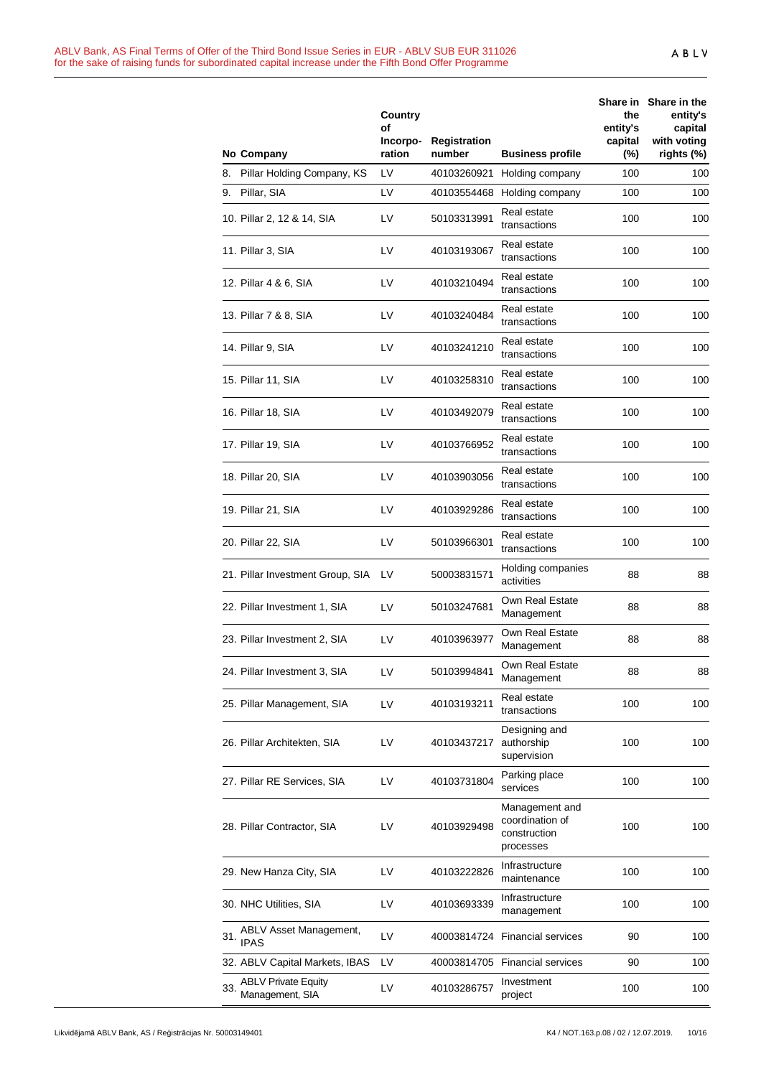|     | No Company                                    | Country<br>οf<br>Incorpo-<br>ration | Registration<br>number | <b>Business profile</b>                                        | the<br>entity's<br>capital<br>$(\%)$ | Share in Share in the<br>entity's<br>capital<br>with voting<br>rights (%) |
|-----|-----------------------------------------------|-------------------------------------|------------------------|----------------------------------------------------------------|--------------------------------------|---------------------------------------------------------------------------|
|     | 8. Pillar Holding Company, KS                 | LV                                  | 40103260921            | Holding company                                                | 100                                  | 100                                                                       |
|     | 9. Pillar, SIA                                | LV                                  |                        | 40103554468 Holding company                                    | 100                                  | 100                                                                       |
|     | 10. Pillar 2, 12 & 14, SIA                    | LV                                  | 50103313991            | Real estate<br>transactions                                    | 100                                  | 100                                                                       |
|     | 11. Pillar 3, SIA                             | LV                                  | 40103193067            | Real estate<br>transactions                                    | 100                                  | 100                                                                       |
|     | 12. Pillar 4 & 6, SIA                         | LV                                  | 40103210494            | Real estate<br>transactions                                    | 100                                  | 100                                                                       |
|     | 13. Pillar 7 & 8, SIA                         | LV                                  | 40103240484            | Real estate<br>transactions                                    | 100                                  | 100                                                                       |
|     | 14. Pillar 9, SIA                             | LV.                                 | 40103241210            | Real estate<br>transactions                                    | 100                                  | 100                                                                       |
|     | 15. Pillar 11, SIA                            | LV.                                 | 40103258310            | Real estate<br>transactions                                    | 100                                  | 100                                                                       |
|     | 16. Pillar 18, SIA                            | LV                                  | 40103492079            | Real estate<br>transactions                                    | 100                                  | 100                                                                       |
|     | 17. Pillar 19, SIA                            | LV                                  | 40103766952            | Real estate<br>transactions                                    | 100                                  | 100                                                                       |
|     | 18. Pillar 20, SIA                            | LV                                  | 40103903056            | Real estate<br>transactions                                    | 100                                  | 100                                                                       |
|     | 19. Pillar 21, SIA                            | LV                                  | 40103929286            | Real estate<br>transactions                                    | 100                                  | 100                                                                       |
|     | 20. Pillar 22, SIA                            | LV                                  | 50103966301            | Real estate<br>transactions                                    | 100                                  | 100                                                                       |
|     | 21. Pillar Investment Group, SIA LV           |                                     | 50003831571            | Holding companies<br>activities                                | 88                                   | 88                                                                        |
|     | 22. Pillar Investment 1, SIA                  | LV.                                 | 50103247681            | Own Real Estate<br>Management                                  | 88                                   | 88                                                                        |
|     | 23. Pillar Investment 2, SIA                  | LV                                  | 40103963977            | Own Real Estate<br>Management                                  | 88                                   | 88                                                                        |
|     | 24. Pillar Investment 3, SIA                  | LV                                  | 50103994841            | Own Real Estate<br>Management                                  | 88                                   | 88                                                                        |
|     | 25. Pillar Management, SIA                    | LV                                  | 40103193211            | Real estate<br>transactions                                    | 100                                  | 100                                                                       |
|     | 26. Pillar Architekten, SIA                   | LV                                  | 40103437217            | Designing and<br>authorship<br>supervision                     | 100                                  | 100                                                                       |
|     | 27. Pillar RE Services, SIA                   | LV                                  | 40103731804            | Parking place<br>services                                      | 100                                  | 100                                                                       |
|     | 28. Pillar Contractor, SIA                    | LV                                  | 40103929498            | Management and<br>coordination of<br>construction<br>processes | 100                                  | 100                                                                       |
|     | 29. New Hanza City, SIA                       | LV                                  | 40103222826            | Infrastructure<br>maintenance                                  | 100                                  | 100                                                                       |
|     | 30. NHC Utilities, SIA                        | LV                                  | 40103693339            | Infrastructure<br>management                                   | 100                                  | 100                                                                       |
| 31. | ABLV Asset Management,<br><b>IPAS</b>         | LV                                  |                        | 40003814724 Financial services                                 | 90                                   | 100                                                                       |
|     | 32. ABLV Capital Markets, IBAS                | LV                                  |                        | 40003814705 Financial services                                 | 90                                   | 100                                                                       |
| 33. | <b>ABLV Private Equity</b><br>Management, SIA | LV                                  | 40103286757            | Investment<br>project                                          | 100                                  | 100                                                                       |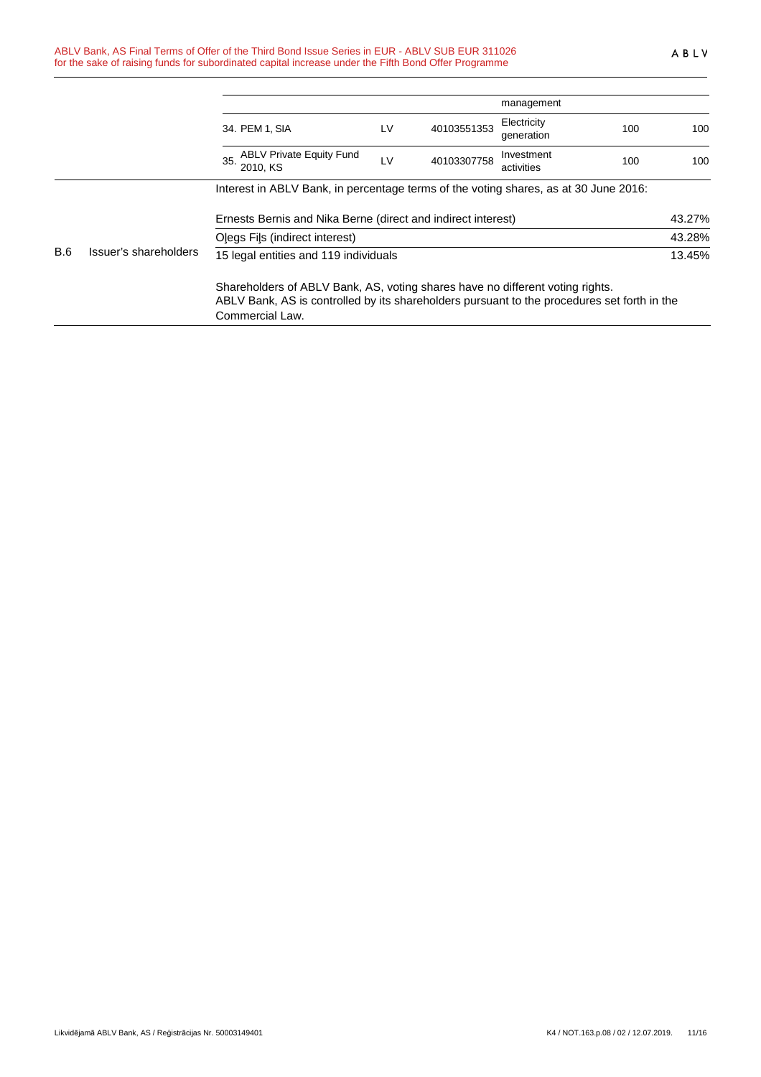|            |                       |                                                                                                                                                                                                 |    |             | management                |     |        |
|------------|-----------------------|-------------------------------------------------------------------------------------------------------------------------------------------------------------------------------------------------|----|-------------|---------------------------|-----|--------|
|            |                       | 34. PEM 1, SIA                                                                                                                                                                                  | LV | 40103551353 | Electricity<br>generation | 100 | 100    |
|            |                       | 35. ABLV Private Equity Fund<br>2010. KS                                                                                                                                                        | LV | 40103307758 | Investment<br>activities  | 100 | 100    |
|            |                       | Interest in ABLV Bank, in percentage terms of the voting shares, as at 30 June 2016:                                                                                                            |    |             |                           |     |        |
|            |                       | Ernests Bernis and Nika Berne (direct and indirect interest)                                                                                                                                    |    |             |                           |     | 43.27% |
|            |                       | Olegs Fils (indirect interest)                                                                                                                                                                  |    |             |                           |     | 43.28% |
| <b>B.6</b> | Issuer's shareholders | 15 legal entities and 119 individuals                                                                                                                                                           |    |             |                           |     | 13.45% |
|            |                       | Shareholders of ABLV Bank, AS, voting shares have no different voting rights.<br>ABLV Bank, AS is controlled by its shareholders pursuant to the procedures set forth in the<br>Commercial Law. |    |             |                           |     |        |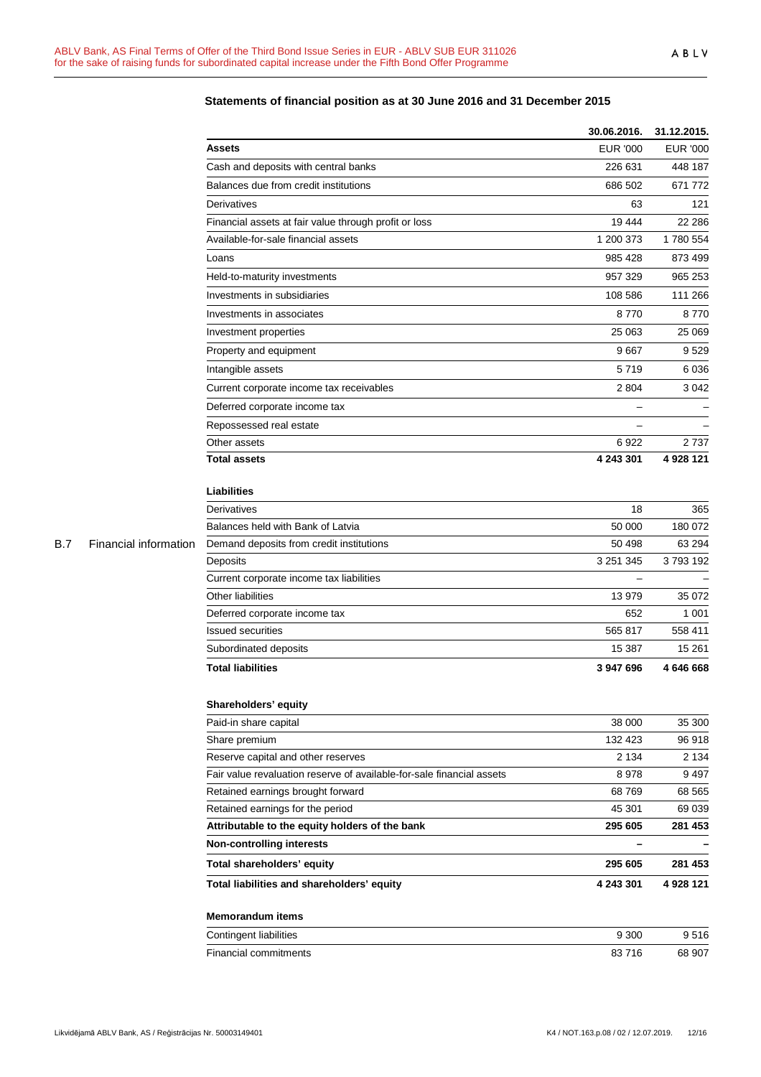|            |                       |                                                                       | 30.06.2016.       | 31.12.2015.     |
|------------|-----------------------|-----------------------------------------------------------------------|-------------------|-----------------|
|            |                       | <b>Assets</b>                                                         | <b>EUR '000</b>   | <b>EUR '000</b> |
|            |                       | Cash and deposits with central banks                                  | 226 631           | 448 187         |
|            |                       | Balances due from credit institutions                                 | 686 502           | 671 772         |
|            |                       | Derivatives                                                           | 63                | 121             |
|            |                       | Financial assets at fair value through profit or loss                 | 19 4 44           | 22 2 86         |
|            |                       | Available-for-sale financial assets                                   | 1 200 373         | 1780 554        |
|            |                       | Loans                                                                 | 985 428           | 873 499         |
|            |                       | Held-to-maturity investments                                          | 957 329           | 965 253         |
|            |                       | Investments in subsidiaries                                           | 108 586           | 111 266         |
|            |                       | Investments in associates                                             | 8770              | 8770            |
|            |                       | Investment properties                                                 | 25 063            | 25 069          |
|            |                       | Property and equipment                                                | 9667              | 9529            |
|            |                       | Intangible assets                                                     | 5719              | 6 0 3 6         |
|            |                       | Current corporate income tax receivables                              | 2 8 0 4           | 3 0 4 2         |
|            |                       | Deferred corporate income tax                                         |                   |                 |
|            |                       | Repossessed real estate                                               |                   |                 |
|            |                       | Other assets                                                          | 6922              | 2737            |
|            |                       | <b>Total assets</b>                                                   | 4 243 301         | 4 928 121       |
|            |                       |                                                                       |                   |                 |
|            |                       | <b>Liabilities</b>                                                    |                   |                 |
|            |                       | Derivatives                                                           | 18                | 365             |
|            |                       | Balances held with Bank of Latvia                                     | 50 000            | 180 072         |
| <b>B.7</b> | Financial information | Demand deposits from credit institutions                              | 50 498            | 63 294          |
|            |                       | Deposits                                                              | 3 2 5 1 3 4 5     | 3793192         |
|            |                       | Current corporate income tax liabilities                              | $\qquad \qquad -$ |                 |
|            |                       | Other liabilities                                                     | 13979             | 35 072          |
|            |                       | Deferred corporate income tax                                         | 652               | 1 0 0 1         |
|            |                       | <b>Issued securities</b>                                              | 565 817           | 558 411         |
|            |                       | Subordinated deposits                                                 | 15 387            | 15 261          |
|            |                       | <b>Total liabilities</b>                                              | 3 947 696         | 4 646 668       |
|            |                       | Shareholders' equity                                                  |                   |                 |
|            |                       | Paid-in share capital                                                 | 38 000            | 35 300          |
|            |                       | Share premium                                                         | 132 423           | 96 918          |
|            |                       | Reserve capital and other reserves                                    | 2 1 3 4           | 2 1 3 4         |
|            |                       | Fair value revaluation reserve of available-for-sale financial assets | 8978              | 9 4 9 7         |
|            |                       | Retained earnings brought forward                                     | 68769             | 68 5 65         |
|            |                       | Retained earnings for the period                                      | 45 301            | 69 039          |
|            |                       | Attributable to the equity holders of the bank                        | 295 605           | 281 453         |
|            |                       | <b>Non-controlling interests</b>                                      |                   |                 |
|            |                       | Total shareholders' equity                                            | 295 605           | 281 453         |
|            |                       | Total liabilities and shareholders' equity                            | 4 243 301         | 4 928 121       |
|            |                       | <b>Memorandum items</b>                                               |                   |                 |
|            |                       | Contingent liabilities                                                | 9 3 0 0           | 9516            |
|            |                       | Financial commitments                                                 | 83716             | 68 907          |

## **Statements of financial position as at 30 June 2016 and 31 December 2015**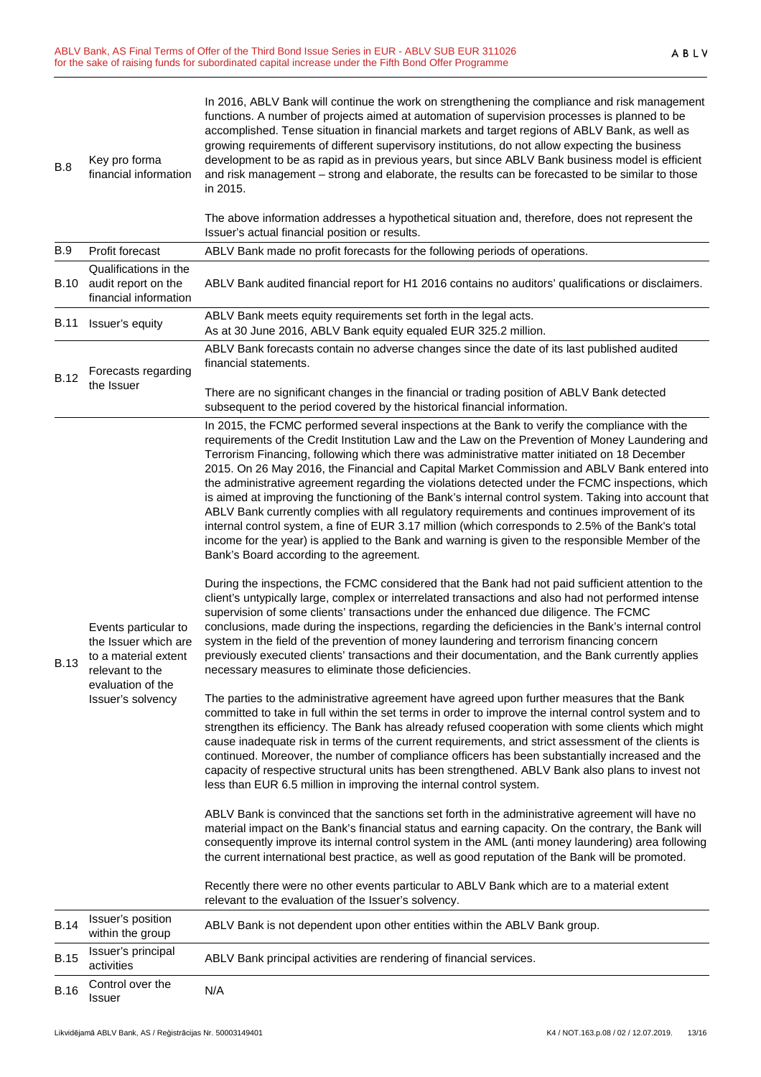| B.8                                             | Key pro forma<br>financial information                                                                                                                 | In 2016, ABLV Bank will continue the work on strengthening the compliance and risk management<br>functions. A number of projects aimed at automation of supervision processes is planned to be<br>accomplished. Tense situation in financial markets and target regions of ABLV Bank, as well as<br>growing requirements of different supervisory institutions, do not allow expecting the business<br>development to be as rapid as in previous years, but since ABLV Bank business model is efficient<br>and risk management - strong and elaborate, the results can be forecasted to be similar to those<br>in 2015.<br>The above information addresses a hypothetical situation and, therefore, does not represent the<br>Issuer's actual financial position or results.                                                                                                                                                                                                                                                                                                                                                                                                                                                                                                                                                                                                                                                                                                                                                                                                                                                                                                                                                                                                                                                                                                                                                                                                                                                                                                                                                                                                                                                                                                                                                                                                                                                                                                                                                                                                                                                                                                                                                                                           |  |
|-------------------------------------------------|--------------------------------------------------------------------------------------------------------------------------------------------------------|------------------------------------------------------------------------------------------------------------------------------------------------------------------------------------------------------------------------------------------------------------------------------------------------------------------------------------------------------------------------------------------------------------------------------------------------------------------------------------------------------------------------------------------------------------------------------------------------------------------------------------------------------------------------------------------------------------------------------------------------------------------------------------------------------------------------------------------------------------------------------------------------------------------------------------------------------------------------------------------------------------------------------------------------------------------------------------------------------------------------------------------------------------------------------------------------------------------------------------------------------------------------------------------------------------------------------------------------------------------------------------------------------------------------------------------------------------------------------------------------------------------------------------------------------------------------------------------------------------------------------------------------------------------------------------------------------------------------------------------------------------------------------------------------------------------------------------------------------------------------------------------------------------------------------------------------------------------------------------------------------------------------------------------------------------------------------------------------------------------------------------------------------------------------------------------------------------------------------------------------------------------------------------------------------------------------------------------------------------------------------------------------------------------------------------------------------------------------------------------------------------------------------------------------------------------------------------------------------------------------------------------------------------------------------------------------------------------------------------------------------------------------|--|
| B.9                                             | Profit forecast                                                                                                                                        | ABLV Bank made no profit forecasts for the following periods of operations.                                                                                                                                                                                                                                                                                                                                                                                                                                                                                                                                                                                                                                                                                                                                                                                                                                                                                                                                                                                                                                                                                                                                                                                                                                                                                                                                                                                                                                                                                                                                                                                                                                                                                                                                                                                                                                                                                                                                                                                                                                                                                                                                                                                                                                                                                                                                                                                                                                                                                                                                                                                                                                                                                            |  |
| B.10                                            | Qualifications in the<br>audit report on the<br>financial information                                                                                  | ABLV Bank audited financial report for H1 2016 contains no auditors' qualifications or disclaimers.                                                                                                                                                                                                                                                                                                                                                                                                                                                                                                                                                                                                                                                                                                                                                                                                                                                                                                                                                                                                                                                                                                                                                                                                                                                                                                                                                                                                                                                                                                                                                                                                                                                                                                                                                                                                                                                                                                                                                                                                                                                                                                                                                                                                                                                                                                                                                                                                                                                                                                                                                                                                                                                                    |  |
| B.11                                            | ABLV Bank meets equity requirements set forth in the legal acts.<br>Issuer's equity<br>As at 30 June 2016, ABLV Bank equity equaled EUR 325.2 million. |                                                                                                                                                                                                                                                                                                                                                                                                                                                                                                                                                                                                                                                                                                                                                                                                                                                                                                                                                                                                                                                                                                                                                                                                                                                                                                                                                                                                                                                                                                                                                                                                                                                                                                                                                                                                                                                                                                                                                                                                                                                                                                                                                                                                                                                                                                                                                                                                                                                                                                                                                                                                                                                                                                                                                                        |  |
|                                                 | Forecasts regarding                                                                                                                                    | ABLV Bank forecasts contain no adverse changes since the date of its last published audited<br>financial statements.                                                                                                                                                                                                                                                                                                                                                                                                                                                                                                                                                                                                                                                                                                                                                                                                                                                                                                                                                                                                                                                                                                                                                                                                                                                                                                                                                                                                                                                                                                                                                                                                                                                                                                                                                                                                                                                                                                                                                                                                                                                                                                                                                                                                                                                                                                                                                                                                                                                                                                                                                                                                                                                   |  |
| <b>B.12</b>                                     | the Issuer                                                                                                                                             | There are no significant changes in the financial or trading position of ABLV Bank detected<br>subsequent to the period covered by the historical financial information.                                                                                                                                                                                                                                                                                                                                                                                                                                                                                                                                                                                                                                                                                                                                                                                                                                                                                                                                                                                                                                                                                                                                                                                                                                                                                                                                                                                                                                                                                                                                                                                                                                                                                                                                                                                                                                                                                                                                                                                                                                                                                                                                                                                                                                                                                                                                                                                                                                                                                                                                                                                               |  |
| <b>B.13</b>                                     | Events particular to<br>the Issuer which are<br>to a material extent<br>relevant to the<br>evaluation of the<br>Issuer's solvency                      | In 2015, the FCMC performed several inspections at the Bank to verify the compliance with the<br>requirements of the Credit Institution Law and the Law on the Prevention of Money Laundering and<br>Terrorism Financing, following which there was administrative matter initiated on 18 December<br>2015. On 26 May 2016, the Financial and Capital Market Commission and ABLV Bank entered into<br>the administrative agreement regarding the violations detected under the FCMC inspections, which<br>is aimed at improving the functioning of the Bank's internal control system. Taking into account that<br>ABLV Bank currently complies with all regulatory requirements and continues improvement of its<br>internal control system, a fine of EUR 3.17 million (which corresponds to 2.5% of the Bank's total<br>income for the year) is applied to the Bank and warning is given to the responsible Member of the<br>Bank's Board according to the agreement.<br>During the inspections, the FCMC considered that the Bank had not paid sufficient attention to the<br>client's untypically large, complex or interrelated transactions and also had not performed intense<br>supervision of some clients' transactions under the enhanced due diligence. The FCMC<br>conclusions, made during the inspections, regarding the deficiencies in the Bank's internal control<br>system in the field of the prevention of money laundering and terrorism financing concern<br>previously executed clients' transactions and their documentation, and the Bank currently applies<br>necessary measures to eliminate those deficiencies.<br>The parties to the administrative agreement have agreed upon further measures that the Bank<br>committed to take in full within the set terms in order to improve the internal control system and to<br>strengthen its efficiency. The Bank has already refused cooperation with some clients which might<br>cause inadequate risk in terms of the current requirements, and strict assessment of the clients is<br>continued. Moreover, the number of compliance officers has been substantially increased and the<br>capacity of respective structural units has been strengthened. ABLV Bank also plans to invest not<br>less than EUR 6.5 million in improving the internal control system.<br>ABLV Bank is convinced that the sanctions set forth in the administrative agreement will have no<br>material impact on the Bank's financial status and earning capacity. On the contrary, the Bank will<br>consequently improve its internal control system in the AML (anti money laundering) area following<br>the current international best practice, as well as good reputation of the Bank will be promoted. |  |
|                                                 |                                                                                                                                                        | Recently there were no other events particular to ABLV Bank which are to a material extent<br>relevant to the evaluation of the Issuer's solvency.                                                                                                                                                                                                                                                                                                                                                                                                                                                                                                                                                                                                                                                                                                                                                                                                                                                                                                                                                                                                                                                                                                                                                                                                                                                                                                                                                                                                                                                                                                                                                                                                                                                                                                                                                                                                                                                                                                                                                                                                                                                                                                                                                                                                                                                                                                                                                                                                                                                                                                                                                                                                                     |  |
| <b>B.14</b>                                     | Issuer's position<br>within the group                                                                                                                  | ABLV Bank is not dependent upon other entities within the ABLV Bank group.                                                                                                                                                                                                                                                                                                                                                                                                                                                                                                                                                                                                                                                                                                                                                                                                                                                                                                                                                                                                                                                                                                                                                                                                                                                                                                                                                                                                                                                                                                                                                                                                                                                                                                                                                                                                                                                                                                                                                                                                                                                                                                                                                                                                                                                                                                                                                                                                                                                                                                                                                                                                                                                                                             |  |
| Issuer's principal<br><b>B.15</b><br>activities |                                                                                                                                                        | ABLV Bank principal activities are rendering of financial services.                                                                                                                                                                                                                                                                                                                                                                                                                                                                                                                                                                                                                                                                                                                                                                                                                                                                                                                                                                                                                                                                                                                                                                                                                                                                                                                                                                                                                                                                                                                                                                                                                                                                                                                                                                                                                                                                                                                                                                                                                                                                                                                                                                                                                                                                                                                                                                                                                                                                                                                                                                                                                                                                                                    |  |
| <b>B.16</b>                                     | Control over the<br>Issuer                                                                                                                             | N/A                                                                                                                                                                                                                                                                                                                                                                                                                                                                                                                                                                                                                                                                                                                                                                                                                                                                                                                                                                                                                                                                                                                                                                                                                                                                                                                                                                                                                                                                                                                                                                                                                                                                                                                                                                                                                                                                                                                                                                                                                                                                                                                                                                                                                                                                                                                                                                                                                                                                                                                                                                                                                                                                                                                                                                    |  |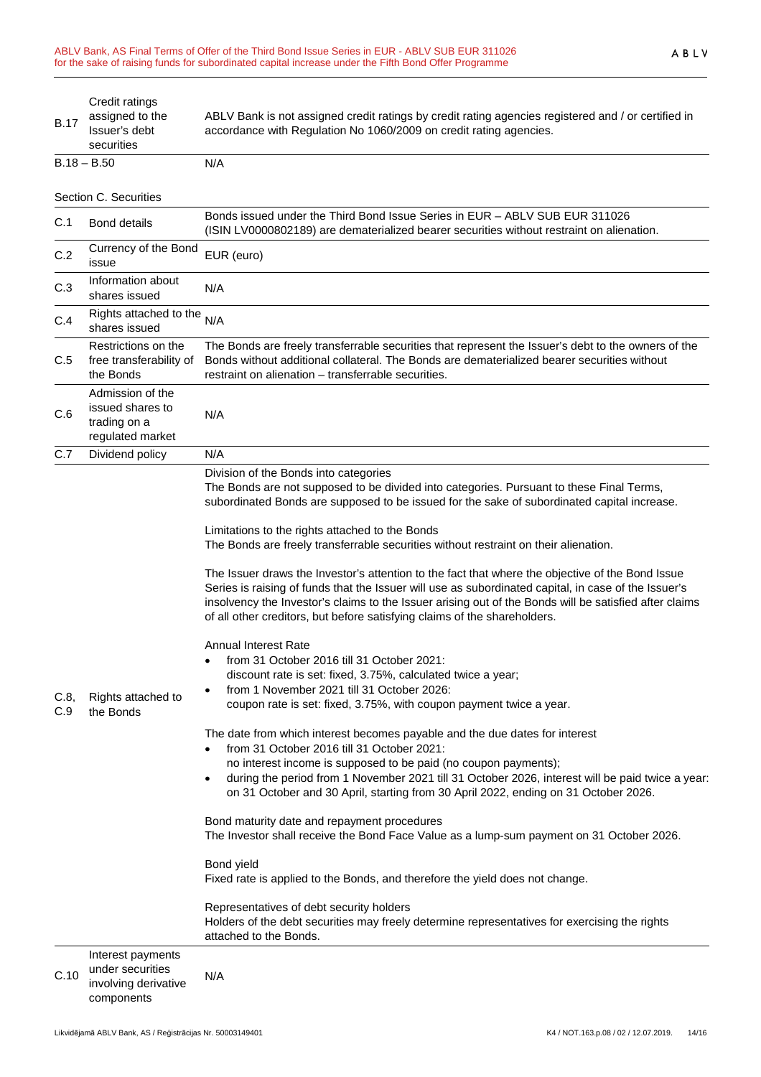| <b>B.17</b> | Credit ratings<br>assigned to the<br>Issuer's debt<br>securities            | ABLV Bank is not assigned credit ratings by credit rating agencies registered and / or certified in<br>accordance with Regulation No 1060/2009 on credit rating agencies.                                                                                                                                                                                                                                                                                                                                                                                                                                                                                                                                                                                                                                                                                                                                                                                                                                                                                                                                                                                                                                                                                                                                                                                                                                                                                                                                                                                                                                                                                                                                                                                                                                                                                                |  |
|-------------|-----------------------------------------------------------------------------|--------------------------------------------------------------------------------------------------------------------------------------------------------------------------------------------------------------------------------------------------------------------------------------------------------------------------------------------------------------------------------------------------------------------------------------------------------------------------------------------------------------------------------------------------------------------------------------------------------------------------------------------------------------------------------------------------------------------------------------------------------------------------------------------------------------------------------------------------------------------------------------------------------------------------------------------------------------------------------------------------------------------------------------------------------------------------------------------------------------------------------------------------------------------------------------------------------------------------------------------------------------------------------------------------------------------------------------------------------------------------------------------------------------------------------------------------------------------------------------------------------------------------------------------------------------------------------------------------------------------------------------------------------------------------------------------------------------------------------------------------------------------------------------------------------------------------------------------------------------------------|--|
|             | $B.18 - B.50$                                                               | N/A                                                                                                                                                                                                                                                                                                                                                                                                                                                                                                                                                                                                                                                                                                                                                                                                                                                                                                                                                                                                                                                                                                                                                                                                                                                                                                                                                                                                                                                                                                                                                                                                                                                                                                                                                                                                                                                                      |  |
|             | Section C. Securities                                                       |                                                                                                                                                                                                                                                                                                                                                                                                                                                                                                                                                                                                                                                                                                                                                                                                                                                                                                                                                                                                                                                                                                                                                                                                                                                                                                                                                                                                                                                                                                                                                                                                                                                                                                                                                                                                                                                                          |  |
| C.1         | <b>Bond details</b>                                                         | Bonds issued under the Third Bond Issue Series in EUR - ABLV SUB EUR 311026<br>(ISIN LV0000802189) are dematerialized bearer securities without restraint on alienation.                                                                                                                                                                                                                                                                                                                                                                                                                                                                                                                                                                                                                                                                                                                                                                                                                                                                                                                                                                                                                                                                                                                                                                                                                                                                                                                                                                                                                                                                                                                                                                                                                                                                                                 |  |
| C.2         | Currency of the Bond<br>issue                                               | EUR (euro)                                                                                                                                                                                                                                                                                                                                                                                                                                                                                                                                                                                                                                                                                                                                                                                                                                                                                                                                                                                                                                                                                                                                                                                                                                                                                                                                                                                                                                                                                                                                                                                                                                                                                                                                                                                                                                                               |  |
| C.3         | Information about<br>shares issued                                          | N/A                                                                                                                                                                                                                                                                                                                                                                                                                                                                                                                                                                                                                                                                                                                                                                                                                                                                                                                                                                                                                                                                                                                                                                                                                                                                                                                                                                                                                                                                                                                                                                                                                                                                                                                                                                                                                                                                      |  |
| C.4         | Rights attached to the $N/A$<br>shares issued                               |                                                                                                                                                                                                                                                                                                                                                                                                                                                                                                                                                                                                                                                                                                                                                                                                                                                                                                                                                                                                                                                                                                                                                                                                                                                                                                                                                                                                                                                                                                                                                                                                                                                                                                                                                                                                                                                                          |  |
| C.5         | Restrictions on the<br>free transferability of<br>the Bonds                 | The Bonds are freely transferrable securities that represent the Issuer's debt to the owners of the<br>Bonds without additional collateral. The Bonds are dematerialized bearer securities without<br>restraint on alienation - transferrable securities.                                                                                                                                                                                                                                                                                                                                                                                                                                                                                                                                                                                                                                                                                                                                                                                                                                                                                                                                                                                                                                                                                                                                                                                                                                                                                                                                                                                                                                                                                                                                                                                                                |  |
| C.6         | Admission of the<br>issued shares to<br>trading on a<br>regulated market    | N/A                                                                                                                                                                                                                                                                                                                                                                                                                                                                                                                                                                                                                                                                                                                                                                                                                                                                                                                                                                                                                                                                                                                                                                                                                                                                                                                                                                                                                                                                                                                                                                                                                                                                                                                                                                                                                                                                      |  |
| C.7         | Dividend policy                                                             | N/A                                                                                                                                                                                                                                                                                                                                                                                                                                                                                                                                                                                                                                                                                                                                                                                                                                                                                                                                                                                                                                                                                                                                                                                                                                                                                                                                                                                                                                                                                                                                                                                                                                                                                                                                                                                                                                                                      |  |
| C.8,<br>C.9 | Rights attached to<br>the Bonds                                             | Division of the Bonds into categories<br>The Bonds are not supposed to be divided into categories. Pursuant to these Final Terms,<br>subordinated Bonds are supposed to be issued for the sake of subordinated capital increase.<br>Limitations to the rights attached to the Bonds<br>The Bonds are freely transferrable securities without restraint on their alienation.<br>The Issuer draws the Investor's attention to the fact that where the objective of the Bond Issue<br>Series is raising of funds that the Issuer will use as subordinated capital, in case of the Issuer's<br>insolvency the Investor's claims to the Issuer arising out of the Bonds will be satisfied after claims<br>of all other creditors, but before satisfying claims of the shareholders.<br><b>Annual Interest Rate</b><br>from 31 October 2016 till 31 October 2021:<br>discount rate is set: fixed, 3.75%, calculated twice a year;<br>from 1 November 2021 till 31 October 2026:<br>coupon rate is set: fixed, 3.75%, with coupon payment twice a year.<br>The date from which interest becomes payable and the due dates for interest<br>from 31 October 2016 till 31 October 2021:<br>no interest income is supposed to be paid (no coupon payments);<br>during the period from 1 November 2021 till 31 October 2026, interest will be paid twice a year:<br>$\bullet$<br>on 31 October and 30 April, starting from 30 April 2022, ending on 31 October 2026.<br>Bond maturity date and repayment procedures<br>The Investor shall receive the Bond Face Value as a lump-sum payment on 31 October 2026.<br>Bond yield<br>Fixed rate is applied to the Bonds, and therefore the yield does not change.<br>Representatives of debt security holders<br>Holders of the debt securities may freely determine representatives for exercising the rights<br>attached to the Bonds. |  |
| C.10        | Interest payments<br>under securities<br>involving derivative<br>components | N/A                                                                                                                                                                                                                                                                                                                                                                                                                                                                                                                                                                                                                                                                                                                                                                                                                                                                                                                                                                                                                                                                                                                                                                                                                                                                                                                                                                                                                                                                                                                                                                                                                                                                                                                                                                                                                                                                      |  |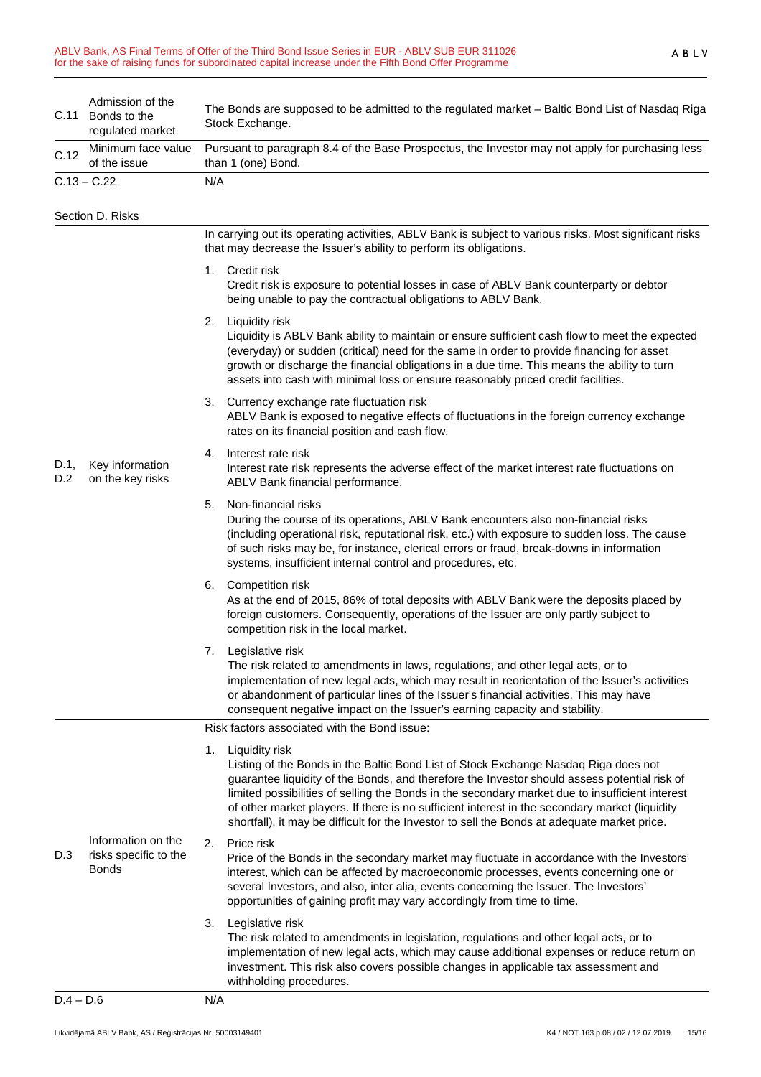| C.11        | Admission of the<br>Bonds to the<br>regulated market        | The Bonds are supposed to be admitted to the regulated market - Baltic Bond List of Nasdaq Riga<br>Stock Exchange.                                                                                                                                                                                                                                                                                                                                                                                               |  |  |
|-------------|-------------------------------------------------------------|------------------------------------------------------------------------------------------------------------------------------------------------------------------------------------------------------------------------------------------------------------------------------------------------------------------------------------------------------------------------------------------------------------------------------------------------------------------------------------------------------------------|--|--|
| C.12        | Minimum face value<br>of the issue                          | Pursuant to paragraph 8.4 of the Base Prospectus, the Investor may not apply for purchasing less<br>than 1 (one) Bond.                                                                                                                                                                                                                                                                                                                                                                                           |  |  |
|             | $C.13 - C.22$                                               | N/A                                                                                                                                                                                                                                                                                                                                                                                                                                                                                                              |  |  |
|             | Section D. Risks                                            |                                                                                                                                                                                                                                                                                                                                                                                                                                                                                                                  |  |  |
| D.1,<br>D.2 | Key information<br>on the key risks                         | In carrying out its operating activities, ABLV Bank is subject to various risks. Most significant risks<br>that may decrease the Issuer's ability to perform its obligations.                                                                                                                                                                                                                                                                                                                                    |  |  |
|             |                                                             | 1. Credit risk<br>Credit risk is exposure to potential losses in case of ABLV Bank counterparty or debtor<br>being unable to pay the contractual obligations to ABLV Bank.                                                                                                                                                                                                                                                                                                                                       |  |  |
|             |                                                             | 2.<br>Liquidity risk<br>Liquidity is ABLV Bank ability to maintain or ensure sufficient cash flow to meet the expected<br>(everyday) or sudden (critical) need for the same in order to provide financing for asset<br>growth or discharge the financial obligations in a due time. This means the ability to turn<br>assets into cash with minimal loss or ensure reasonably priced credit facilities.                                                                                                          |  |  |
|             |                                                             | 3. Currency exchange rate fluctuation risk<br>ABLV Bank is exposed to negative effects of fluctuations in the foreign currency exchange<br>rates on its financial position and cash flow.                                                                                                                                                                                                                                                                                                                        |  |  |
|             |                                                             | Interest rate risk<br>4.<br>Interest rate risk represents the adverse effect of the market interest rate fluctuations on<br>ABLV Bank financial performance.                                                                                                                                                                                                                                                                                                                                                     |  |  |
|             |                                                             | Non-financial risks<br>5.<br>During the course of its operations, ABLV Bank encounters also non-financial risks<br>(including operational risk, reputational risk, etc.) with exposure to sudden loss. The cause<br>of such risks may be, for instance, clerical errors or fraud, break-downs in information<br>systems, insufficient internal control and procedures, etc.                                                                                                                                      |  |  |
|             |                                                             | 6. Competition risk<br>As at the end of 2015, 86% of total deposits with ABLV Bank were the deposits placed by<br>foreign customers. Consequently, operations of the Issuer are only partly subject to<br>competition risk in the local market.                                                                                                                                                                                                                                                                  |  |  |
|             |                                                             | 7. Legislative risk<br>The risk related to amendments in laws, regulations, and other legal acts, or to<br>implementation of new legal acts, which may result in reorientation of the Issuer's activities<br>or abandonment of particular lines of the Issuer's financial activities. This may have<br>consequent negative impact on the Issuer's earning capacity and stability.                                                                                                                                |  |  |
|             | Information on the<br>risks specific to the<br><b>Bonds</b> | Risk factors associated with the Bond issue:                                                                                                                                                                                                                                                                                                                                                                                                                                                                     |  |  |
| D.3         |                                                             | Liquidity risk<br>1.<br>Listing of the Bonds in the Baltic Bond List of Stock Exchange Nasdaq Riga does not<br>guarantee liquidity of the Bonds, and therefore the Investor should assess potential risk of<br>limited possibilities of selling the Bonds in the secondary market due to insufficient interest<br>of other market players. If there is no sufficient interest in the secondary market (liquidity<br>shortfall), it may be difficult for the Investor to sell the Bonds at adequate market price. |  |  |
|             |                                                             | Price risk<br>2.<br>Price of the Bonds in the secondary market may fluctuate in accordance with the Investors'<br>interest, which can be affected by macroeconomic processes, events concerning one or<br>several Investors, and also, inter alia, events concerning the Issuer. The Investors'<br>opportunities of gaining profit may vary accordingly from time to time.                                                                                                                                       |  |  |
|             |                                                             | 3.<br>Legislative risk<br>The risk related to amendments in legislation, regulations and other legal acts, or to<br>implementation of new legal acts, which may cause additional expenses or reduce return on<br>investment. This risk also covers possible changes in applicable tax assessment and<br>withholding procedures.                                                                                                                                                                                  |  |  |